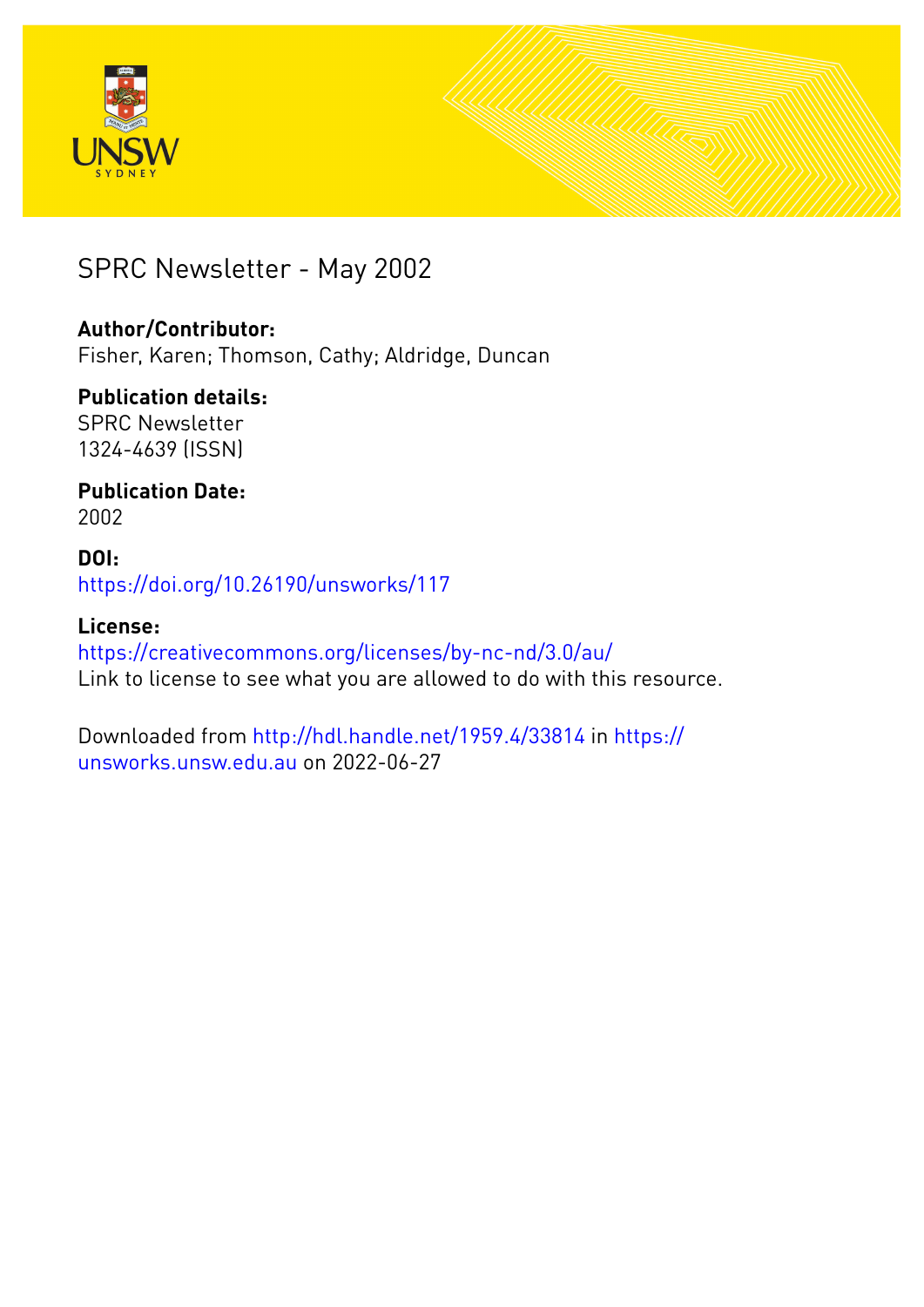



## SPRC Newsletter - May 2002

#### **Author/Contributor:**

Fisher, Karen; Thomson, Cathy; Aldridge, Duncan

### **Publication details:**

SPRC Newsletter 1324-4639 (ISSN)

#### **Publication Date:** 2002

#### **DOI:** [https://doi.org/10.26190/unsworks/117](http://dx.doi.org/https://doi.org/10.26190/unsworks/117)

# **License:**

<https://creativecommons.org/licenses/by-nc-nd/3.0/au/> Link to license to see what you are allowed to do with this resource.

Downloaded from <http://hdl.handle.net/1959.4/33814> in [https://](https://unsworks.unsw.edu.au) [unsworks.unsw.edu.au](https://unsworks.unsw.edu.au) on 2022-06-27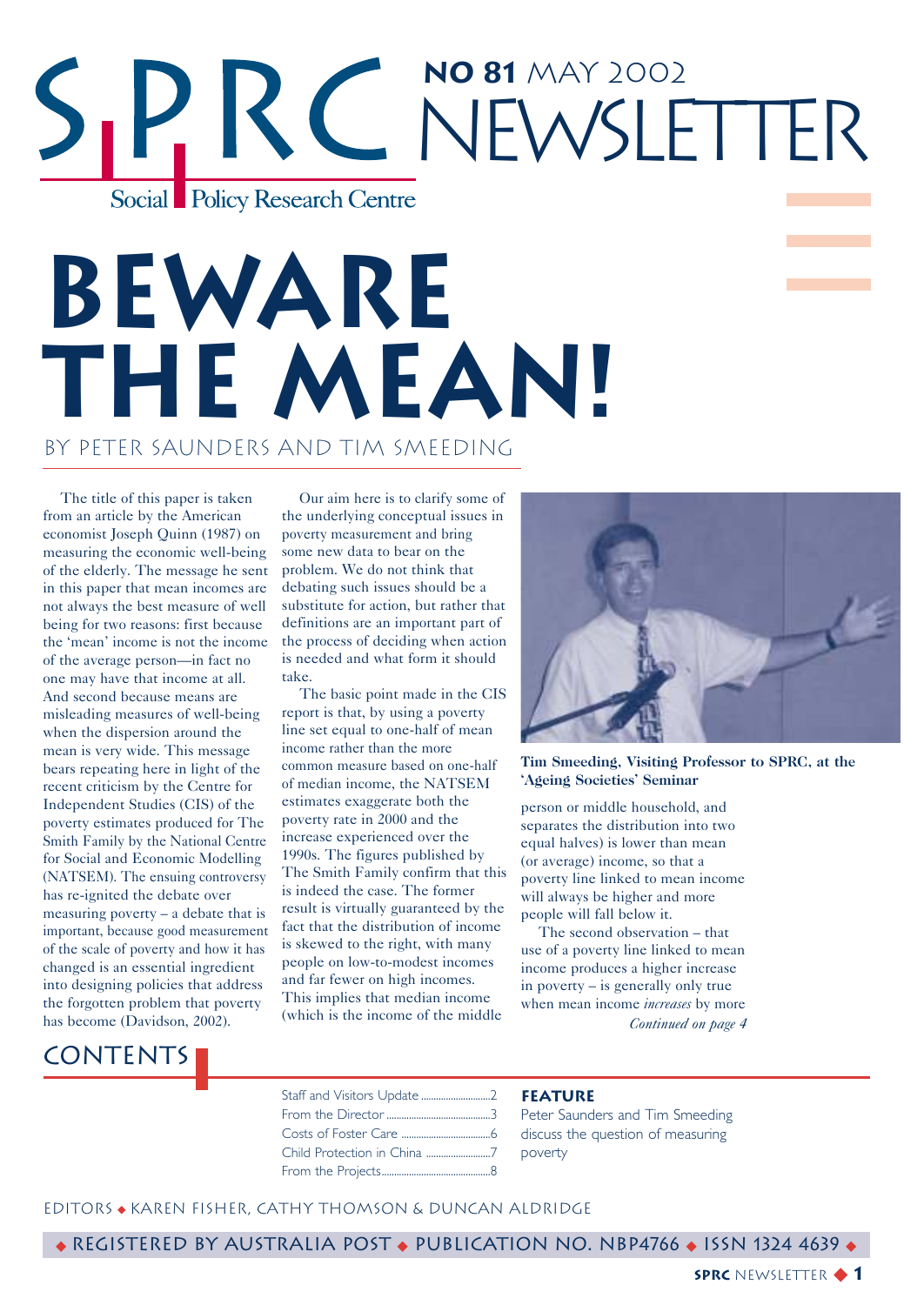# **No 81** May 2002 Newsletter Social Policy Research Centre

# **Beware the Mean!** by Peter Saunders and Tim Smeeding

The title of this paper is taken from an article by the American economist Joseph Quinn (1987) on measuring the economic well-being of the elderly. The message he sent in this paper that mean incomes are not always the best measure of well being for two reasons: first because the 'mean' income is not the income of the average person—in fact no one may have that income at all. And second because means are misleading measures of well-being when the dispersion around the mean is very wide. This message bears repeating here in light of the recent criticism by the Centre for Independent Studies (CIS) of the poverty estimates produced for The Smith Family by the National Centre for Social and Economic Modelling (NATSEM). The ensuing controversy has re-ignited the debate over measuring poverty – a debate that is important, because good measurement of the scale of poverty and how it has changed is an essential ingredient into designing policies that address the forgotten problem that poverty has become (Davidson, 2002).

Our aim here is to clarify some of the underlying conceptual issues in poverty measurement and bring some new data to bear on the problem. We do not think that debating such issues should be a substitute for action, but rather that definitions are an important part of the process of deciding when action is needed and what form it should take.

The basic point made in the CIS report is that, by using a poverty line set equal to one-half of mean income rather than the more common measure based on one-half of median income, the NATSEM estimates exaggerate both the poverty rate in 2000 and the increase experienced over the 1990s. The figures published by The Smith Family confirm that this is indeed the case. The former result is virtually guaranteed by the fact that the distribution of income is skewed to the right, with many people on low-to-modest incomes and far fewer on high incomes. This implies that median income (which is the income of the middle



**Tim Smeeding, Visiting Professor to SPRC, at the 'Ageing Societies' Seminar**

person or middle household, and separates the distribution into two equal halves) is lower than mean (or average) income, so that a poverty line linked to mean income will always be higher and more people will fall below it.

The second observation – that use of a poverty line linked to mean income produces a higher increase in poverty – is generally only true when mean income *increases* by more *Continued on page 4*

### **CONTENTS**

Staff and Visitors Update ............................2 From the Director ..........................................3 Costs of Foster Care ....................................6 Child Protection in China ..........................7 From the Projects............................................8

#### **Feature**

Peter Saunders and Tim Smeeding discuss the question of measuring poverty

EditorS ◆ Karen Fisher, Cathy Thomson & Duncan Aldridge

◆ Registered by Australia Post ◆ Publication No. NBP4766 ◆ ISSN 1324 4639 ◆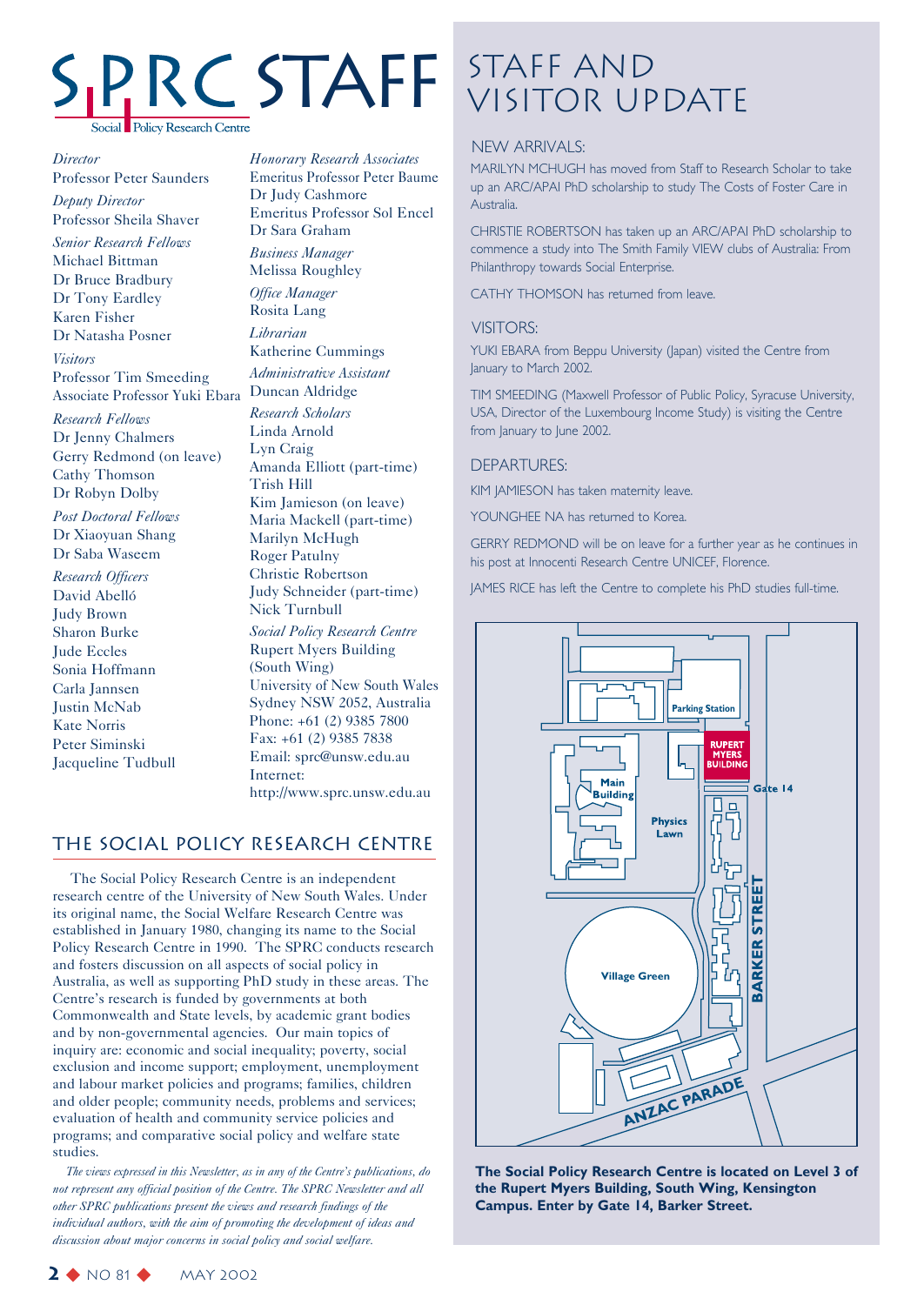# **Policy Research Centre**

*Director* Professor Peter Saunders

*Deputy Director* Professor Sheila Shaver

*Senior Research Fellows* Michael Bittman Dr Bruce Bradbury Dr Tony Eardley Karen Fisher Dr Natasha Posner

*Visitors* Professor Tim Smeeding Associate Professor Yuki Ebara *Research Fellows* Dr Jenny Chalmers Gerry Redmond (on leave) Cathy Thomson Dr Robyn Dolby *Post Doctoral Fellows* Dr Xiaoyuan Shang Dr Saba Waseem

*Research Officers* David Abelló Judy Brown Sharon Burke Jude Eccles Sonia Hoffmann Carla Jannsen Justin McNab Kate Norris Peter Siminski Jacqueline Tudbull *Honorary Research Associates* Emeritus Professor Peter Baume Dr Judy Cashmore Emeritus Professor Sol Encel Dr Sara Graham *Business Manager* Melissa Roughley *Office Manager* Rosita Lang *Librarian* Katherine Cummings *Administrative Assistant* Duncan Aldridge *Research Scholars* Linda Arnold Lyn Craig Amanda Elliott (part-time) Trish Hill Kim Jamieson (on leave) Maria Mackell (part-time) Marilyn McHugh Roger Patulny Christie Robertson Judy Schneider (part-time) Nick Turnbull *Social Policy Research Centre* Rupert Myers Building (South Wing) University of New South Wales Sydney NSW 2052, Australia Phone: +61 (2) 9385 7800 Fax: +61 (2) 9385 7838 Email: sprc@unsw.edu.au Internet: http://www.sprc.unsw.edu.au

#### The Social Policy Research Centre

The Social Policy Research Centre is an independent research centre of the University of New South Wales. Under its original name, the Social Welfare Research Centre was established in January 1980, changing its name to the Social Policy Research Centre in 1990. The SPRC conducts research and fosters discussion on all aspects of social policy in Australia, as well as supporting PhD study in these areas. The Centre's research is funded by governments at both Commonwealth and State levels, by academic grant bodies and by non-governmental agencies. Our main topics of inquiry are: economic and social inequality; poverty, social exclusion and income support; employment, unemployment and labour market policies and programs; families, children and older people; community needs, problems and services; evaluation of health and community service policies and programs; and comparative social policy and welfare state studies.

*The views expressed in this Newsletter, as in any of the Centre's publications, do not represent any official position of the Centre. The SPRC Newsletter and all other SPRC publications present the views and research findings of the individual authors, with the aim of promoting the development of ideas and discussion about major concerns in social policy and social welfare.*

# Staff and STAFF STAFF AND

#### NEW ARRIVALS:

MARILYN MCHUGH has moved from Staff to Research Scholar to take up an ARC/APAI PhD scholarship to study The Costs of Foster Care in Australia.

CHRISTIE ROBERTSON has taken up an ARC/APAI PhD scholarship to commence a study into The Smith Family VIEW clubs of Australia: From Philanthropy towards Social Enterprise.

CATHY THOMSON has returned from leave.

#### VISITORS:

YUKI EBARA from Beppu University (Japan) visited the Centre from January to March 2002.

TIM SMEEDING (Maxwell Professor of Public Policy, Syracuse University, USA, Director of the Luxembourg Income Study) is visiting the Centre from January to June 2002.

#### DEPARTURES:

KIM JAMIESON has taken maternity leave.

YOUNGHEE NA has returned to Korea.

GERRY REDMOND will be on leave for a further year as he continues in his post at Innocenti Research Centre UNICEF, Florence.

JAMES RICE has left the Centre to complete his PhD studies full-time.



**The Social Policy Research Centre is located on Level 3 of the Rupert Myers Building, South Wing, Kensington Campus. Enter by Gate 14, Barker Street.**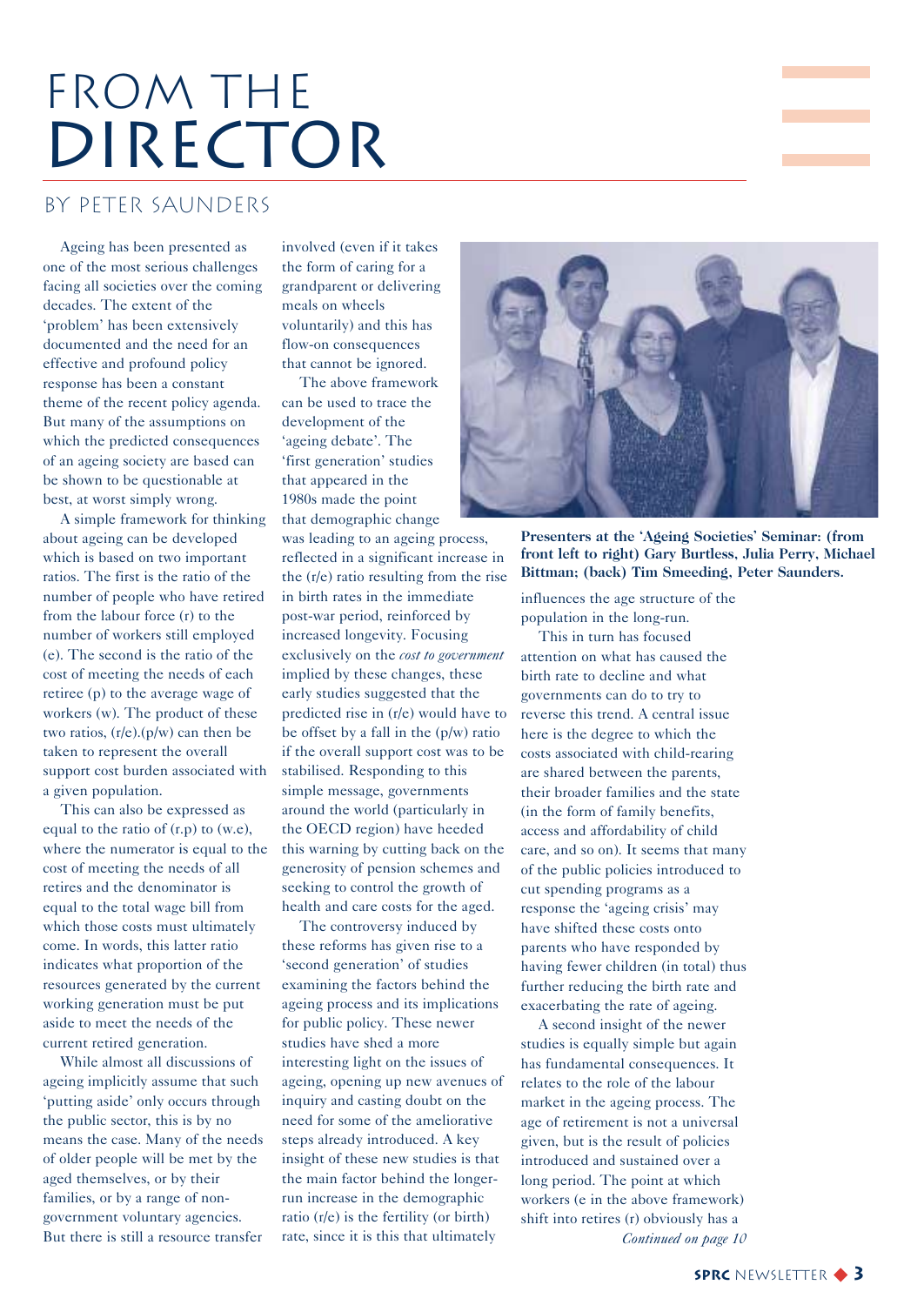# FROM THE DIRECTOR

#### by Peter Saunders

Ageing has been presented as one of the most serious challenges facing all societies over the coming decades. The extent of the 'problem' has been extensively documented and the need for an effective and profound policy response has been a constant theme of the recent policy agenda. But many of the assumptions on which the predicted consequences of an ageing society are based can be shown to be questionable at best, at worst simply wrong.

A simple framework for thinking about ageing can be developed which is based on two important ratios. The first is the ratio of the number of people who have retired from the labour force (r) to the number of workers still employed (e). The second is the ratio of the cost of meeting the needs of each retiree (p) to the average wage of workers (w). The product of these two ratios,  $(r/e)(p/w)$  can then be taken to represent the overall support cost burden associated with a given population.

This can also be expressed as equal to the ratio of (r.p) to (w.e), where the numerator is equal to the cost of meeting the needs of all retires and the denominator is equal to the total wage bill from which those costs must ultimately come. In words, this latter ratio indicates what proportion of the resources generated by the current working generation must be put aside to meet the needs of the current retired generation.

While almost all discussions of ageing implicitly assume that such 'putting aside' only occurs through the public sector, this is by no means the case. Many of the needs of older people will be met by the aged themselves, or by their families, or by a range of nongovernment voluntary agencies. But there is still a resource transfer

involved (even if it takes the form of caring for a grandparent or delivering meals on wheels voluntarily) and this has flow-on consequences that cannot be ignored.

The above framework can be used to trace the development of the 'ageing debate'. The 'first generation' studies that appeared in the 1980s made the point that demographic change

was leading to an ageing process, reflected in a significant increase in the (r/e) ratio resulting from the rise in birth rates in the immediate post-war period, reinforced by increased longevity. Focusing exclusively on the *cost to government* implied by these changes, these early studies suggested that the predicted rise in (r/e) would have to be offset by a fall in the (p/w) ratio if the overall support cost was to be stabilised. Responding to this simple message, governments around the world (particularly in the OECD region) have heeded this warning by cutting back on the generosity of pension schemes and seeking to control the growth of health and care costs for the aged.

The controversy induced by these reforms has given rise to a 'second generation' of studies examining the factors behind the ageing process and its implications for public policy. These newer studies have shed a more interesting light on the issues of ageing, opening up new avenues of inquiry and casting doubt on the need for some of the ameliorative steps already introduced. A key insight of these new studies is that the main factor behind the longerrun increase in the demographic ratio (r/e) is the fertility (or birth) rate, since it is this that ultimately



**Presenters at the 'Ageing Societies' Seminar: (from front left to right) Gary Burtless, Julia Perry, Michael Bittman; (back) Tim Smeeding, Peter Saunders.**

influences the age structure of the population in the long-run.

This in turn has focused attention on what has caused the birth rate to decline and what governments can do to try to reverse this trend. A central issue here is the degree to which the costs associated with child-rearing are shared between the parents, their broader families and the state (in the form of family benefits, access and affordability of child care, and so on). It seems that many of the public policies introduced to cut spending programs as a response the 'ageing crisis' may have shifted these costs onto parents who have responded by having fewer children (in total) thus further reducing the birth rate and exacerbating the rate of ageing.

A second insight of the newer studies is equally simple but again has fundamental consequences. It relates to the role of the labour market in the ageing process. The age of retirement is not a universal given, but is the result of policies introduced and sustained over a long period. The point at which workers (e in the above framework) shift into retires (r) obviously has a *Continued on page 10*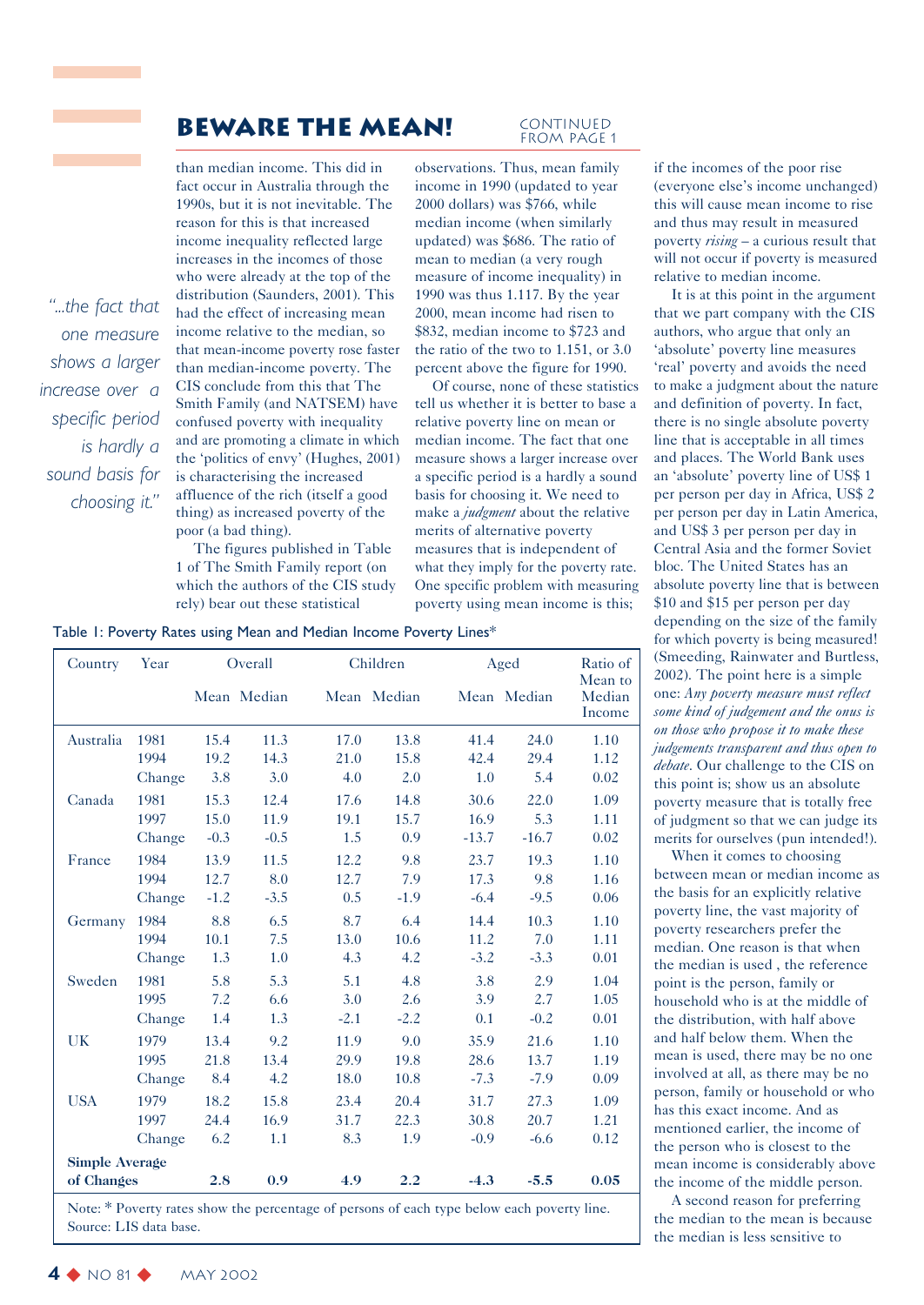#### **BEWARE THE MEAN!** CONTINUED

than median income. This did in

*"...the fact that one measure shows a larger increase over a specific period is hardly a sound basis for choosing it."*

fact occur in Australia through the 1990s, but it is not inevitable. The reason for this is that increased income inequality reflected large increases in the incomes of those who were already at the top of the distribution (Saunders, 2001). This had the effect of increasing mean income relative to the median, so that mean-income poverty rose faster than median-income poverty. The CIS conclude from this that The Smith Family (and NATSEM) have confused poverty with inequality and are promoting a climate in which the 'politics of envy' (Hughes, 2001) is characterising the increased affluence of the rich (itself a good thing) as increased poverty of the poor (a bad thing).

The figures published in Table 1 of The Smith Family report (on which the authors of the CIS study rely) bear out these statistical

observations. Thus, mean family income in 1990 (updated to year 2000 dollars) was \$766, while median income (when similarly updated) was \$686. The ratio of mean to median (a very rough measure of income inequality) in 1990 was thus 1.117. By the year 2000, mean income had risen to \$832, median income to \$723 and the ratio of the two to 1.151, or 3.0 percent above the figure for 1990.

Of course, none of these statistics tell us whether it is better to base a relative poverty line on mean or median income. The fact that one measure shows a larger increase over a specific period is a hardly a sound basis for choosing it. We need to make a *judgment* about the relative merits of alternative poverty measures that is independent of what they imply for the poverty rate. One specific problem with measuring poverty using mean income is this;

Table 1: Poverty Rates using Mean and Median Income Poverty Lines\*

| Country               | Year   | Overall |             |        | Children    |         | Aged        |                             |
|-----------------------|--------|---------|-------------|--------|-------------|---------|-------------|-----------------------------|
|                       |        |         | Mean Median |        | Mean Median |         | Mean Median | Mean to<br>Median<br>Income |
| Australia             | 1981   | 15.4    | 11.3        | 17.0   | 13.8        | 41.4    | 24.0        | 1.10                        |
|                       | 1994   | 19.2    | 14.3        | 21.0   | 15.8        | 42.4    | 29.4        | 1.12                        |
|                       | Change | 3.8     | 3.0         | 4.0    | 2.0         | 1.0     | 5.4         | 0.02                        |
| Canada                | 1981   | 15.3    | 12.4        | 17.6   | 14.8        | 30.6    | 22.0        | 1.09                        |
|                       | 1997   | 15.0    | 11.9        | 19.1   | 15.7        | 16.9    | 5.3         | 1.11                        |
|                       | Change | $-0.3$  | $-0.5$      | 1.5    | 0.9         | $-13.7$ | $-16.7$     | 0.02                        |
| France                | 1984   | 13.9    | 11.5        | 12.2   | 9.8         | 23.7    | 19.3        | 1.10                        |
|                       | 1994   | 12.7    | 8.0         | 12.7   | 7.9         | 17.3    | 9.8         | 1.16                        |
|                       | Change | $-1.2$  | $-3.5$      | 0.5    | $-1.9$      | $-6.4$  | $-9.5$      | 0.06                        |
| Germany               | 1984   | 8.8     | 6.5         | 8.7    | 6.4         | 14.4    | 10.3        | 1.10                        |
|                       | 1994   | 10.1    | 7.5         | 13.0   | 10.6        | 11.2    | 7.0         | 1.11                        |
|                       | Change | 1.3     | 1.0         | 4.3    | 4.2         | $-3.2$  | $-3.3$      | 0.01                        |
| Sweden                | 1981   | 5.8     | 5.3         | 5.1    | 4.8         | 3.8     | 2.9         | 1.04                        |
|                       | 1995   | 7.2     | 6.6         | 3.0    | 2.6         | 3.9     | 2.7         | 1.05                        |
|                       | Change | 1.4     | 1.3         | $-2.1$ | $-2.2$      | 0.1     | $-0.2$      | 0.01                        |
| <b>UK</b>             | 1979   | 13.4    | 9.2         | 11.9   | 9.0         | 35.9    | 21.6        | 1.10                        |
|                       | 1995   | 21.8    | 13.4        | 29.9   | 19.8        | 28.6    | 13.7        | 1.19                        |
|                       | Change | - 8.4   | 4.2         | 18.0   | 10.8        | $-7.3$  | $-7.9$      | 0.09                        |
| <b>USA</b>            | 1979   | 18.2    | 15.8        | 23.4   | 20.4        | 31.7    | 27.3        | 1.09                        |
|                       | 1997   | 24.4    | 16.9        | 31.7   | 22.3        | 30.8    | 20.7        | 1.21                        |
|                       | Change | 6.2     | 1.1         | 8.3    | 1.9         | $-0.9$  | $-6.6$      | 0.12                        |
| <b>Simple Average</b> |        |         |             |        |             |         |             |                             |
| of Changes            |        | 2.8     | 0.9         | 4.9    | 2.2         | $-4.3$  | $-5.5$      | 0.05                        |
| $\mathbf{v}$          |        |         |             |        |             |         |             |                             |

Note: \* Poverty rates show the percentage of persons of each type below each poverty line. Source: LIS data base.

### from Page 1

if the incomes of the poor rise (everyone else's income unchanged) this will cause mean income to rise and thus may result in measured poverty *rising* – a curious result that will not occur if poverty is measured relative to median income.

It is at this point in the argument that we part company with the CIS authors, who argue that only an 'absolute' poverty line measures 'real' poverty and avoids the need to make a judgment about the nature and definition of poverty. In fact, there is no single absolute poverty line that is acceptable in all times and places. The World Bank uses an 'absolute' poverty line of US\$ 1 per person per day in Africa, US\$ 2 per person per day in Latin America, and US\$ 3 per person per day in Central Asia and the former Soviet bloc. The United States has an absolute poverty line that is between \$10 and \$15 per person per day depending on the size of the family for which poverty is being measured! (Smeeding, Rainwater and Burtless, 2002). The point here is a simple one: *Any poverty measure must reflect some kind of judgement and the onus is on those who propose it to make these judgements transparent and thus open to debate*. Our challenge to the CIS on this point is; show us an absolute poverty measure that is totally free of judgment so that we can judge its merits for ourselves (pun intended!).

When it comes to choosing between mean or median income as the basis for an explicitly relative poverty line, the vast majority of poverty researchers prefer the median. One reason is that when the median is used , the reference point is the person, family or household who is at the middle of the distribution, with half above and half below them. When the mean is used, there may be no one involved at all, as there may be no person, family or household or who has this exact income. And as mentioned earlier, the income of the person who is closest to the mean income is considerably above the income of the middle person.

A second reason for preferring the median to the mean is because the median is less sensitive to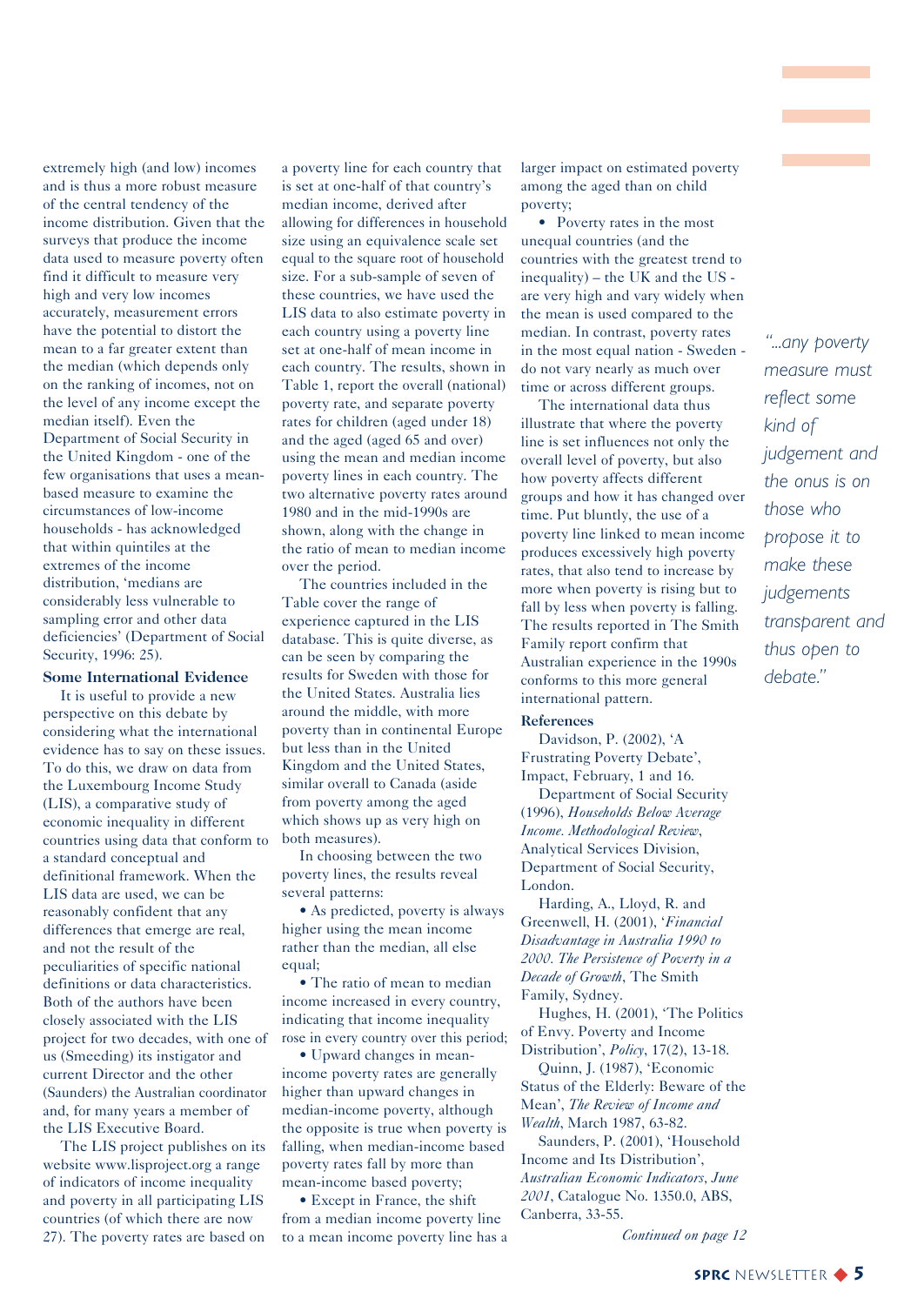extremely high (and low) incomes and is thus a more robust measure of the central tendency of the income distribution. Given that the surveys that produce the income data used to measure poverty often find it difficult to measure very high and very low incomes accurately, measurement errors have the potential to distort the mean to a far greater extent than the median (which depends only on the ranking of incomes, not on the level of any income except the median itself). Even the Department of Social Security in the United Kingdom - one of the few organisations that uses a meanbased measure to examine the circumstances of low-income households - has acknowledged that within quintiles at the extremes of the income distribution, 'medians are considerably less vulnerable to sampling error and other data deficiencies' (Department of Social Security, 1996: 25).

#### **Some International Evidence**

It is useful to provide a new perspective on this debate by considering what the international evidence has to say on these issues. To do this, we draw on data from the Luxembourg Income Study (LIS), a comparative study of economic inequality in different countries using data that conform to a standard conceptual and definitional framework. When the LIS data are used, we can be reasonably confident that any differences that emerge are real, and not the result of the peculiarities of specific national definitions or data characteristics. Both of the authors have been closely associated with the LIS project for two decades, with one of us (Smeeding) its instigator and current Director and the other (Saunders) the Australian coordinator and, for many years a member of the LIS Executive Board.

The LIS project publishes on its website www.lisproject.org a range of indicators of income inequality and poverty in all participating LIS countries (of which there are now 27). The poverty rates are based on

a poverty line for each country that is set at one-half of that country's median income, derived after allowing for differences in household size using an equivalence scale set equal to the square root of household size. For a sub-sample of seven of these countries, we have used the LIS data to also estimate poverty in each country using a poverty line set at one-half of mean income in each country. The results, shown in Table 1, report the overall (national) poverty rate, and separate poverty rates for children (aged under 18) and the aged (aged 65 and over) using the mean and median income poverty lines in each country. The two alternative poverty rates around 1980 and in the mid-1990s are shown, along with the change in the ratio of mean to median income over the period.

The countries included in the Table cover the range of experience captured in the LIS database. This is quite diverse, as can be seen by comparing the results for Sweden with those for the United States. Australia lies around the middle, with more poverty than in continental Europe but less than in the United Kingdom and the United States, similar overall to Canada (aside from poverty among the aged which shows up as very high on both measures).

In choosing between the two poverty lines, the results reveal several patterns:

• As predicted, poverty is always higher using the mean income rather than the median, all else equal;

• The ratio of mean to median income increased in every country, indicating that income inequality rose in every country over this period;

• Upward changes in meanincome poverty rates are generally higher than upward changes in median-income poverty, although the opposite is true when poverty is falling, when median-income based poverty rates fall by more than mean-income based poverty;

• Except in France, the shift from a median income poverty line to a mean income poverty line has a larger impact on estimated poverty among the aged than on child poverty;

• Poverty rates in the most unequal countries (and the countries with the greatest trend to inequality) – the UK and the US are very high and vary widely when the mean is used compared to the median. In contrast, poverty rates in the most equal nation - Sweden do not vary nearly as much over time or across different groups.

The international data thus illustrate that where the poverty line is set influences not only the overall level of poverty, but also how poverty affects different groups and how it has changed over time. Put bluntly, the use of a poverty line linked to mean income produces excessively high poverty rates, that also tend to increase by more when poverty is rising but to fall by less when poverty is falling. The results reported in The Smith Family report confirm that Australian experience in the 1990s conforms to this more general international pattern.

#### **References**

Davidson, P. (2002), 'A Frustrating Poverty Debate', Impact, February, 1 and 16.

Department of Social Security (1996), *Households Below Average Income. Methodological Review*, Analytical Services Division, Department of Social Security, London.

Harding, A., Lloyd, R. and Greenwell, H. (2001), '*Financial Disadvantage in Australia 1990 to 2000. The Persistence of Poverty in a Decade of Growth*, The Smith Family, Sydney.

Hughes, H. (2001), 'The Politics of Envy. Poverty and Income Distribution', *Policy*, 17(2), 13-18.

Quinn, J. (1987), 'Economic Status of the Elderly: Beware of the Mean', *The Review of Income and Wealth*, March 1987, 63-82.

Saunders, P. (2001), 'Household Income and Its Distribution', *Australian Economic Indicators, June 2001*, Catalogue No. 1350.0, ABS, Canberra, 33-55.

*Continued on page 12*

*"...any poverty measure must reflect some kind of judgement and the onus is on those who propose it to make these judgements transparent and thus open to debate."*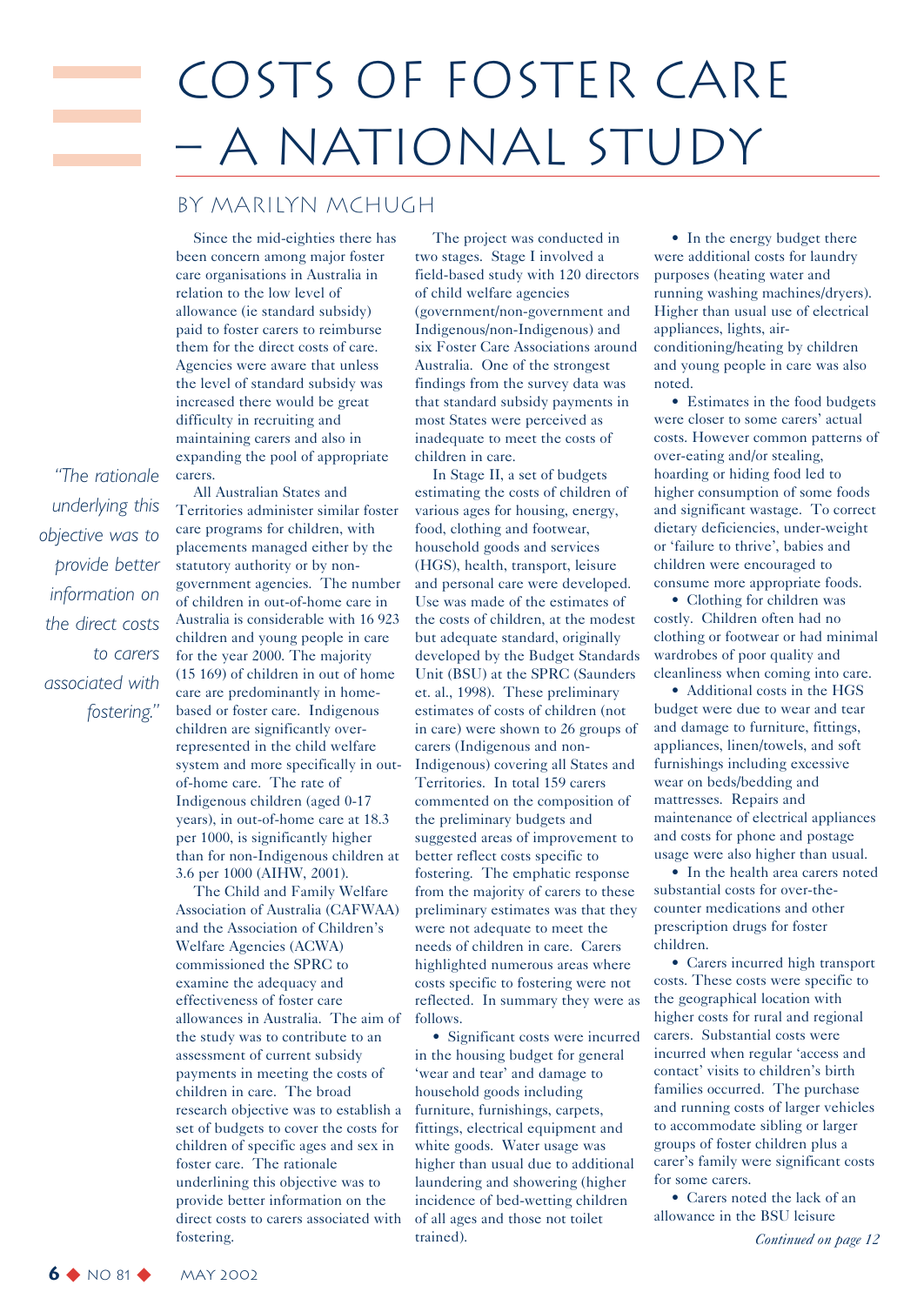# Costs of Foster Care – A National Study

#### by Marilyn McHugh

Since the mid-eighties there has been concern among major foster care organisations in Australia in relation to the low level of allowance (ie standard subsidy) paid to foster carers to reimburse them for the direct costs of care. Agencies were aware that unless the level of standard subsidy was increased there would be great difficulty in recruiting and maintaining carers and also in expanding the pool of appropriate carers.

All Australian States and

*"The rationale underlying this objective was to provide better information on the direct costs to carers associated with fostering."*

Territories administer similar foster care programs for children, with placements managed either by the statutory authority or by nongovernment agencies. The number of children in out-of-home care in Australia is considerable with 16 923 children and young people in care for the year 2000. The majority (15 169) of children in out of home care are predominantly in homebased or foster care. Indigenous children are significantly overrepresented in the child welfare system and more specifically in outof-home care. The rate of Indigenous children (aged 0-17 years), in out-of-home care at 18.3 per 1000, is significantly higher than for non-Indigenous children at 3.6 per 1000 (AIHW, 2001).

The Child and Family Welfare Association of Australia (CAFWAA) and the Association of Children's Welfare Agencies (ACWA) commissioned the SPRC to examine the adequacy and effectiveness of foster care allowances in Australia. The aim of the study was to contribute to an assessment of current subsidy payments in meeting the costs of children in care. The broad research objective was to establish a set of budgets to cover the costs for children of specific ages and sex in foster care. The rationale underlining this objective was to provide better information on the direct costs to carers associated with fostering.

The project was conducted in two stages. Stage I involved a field-based study with 120 directors of child welfare agencies (government/non-government and Indigenous/non-Indigenous) and six Foster Care Associations around Australia. One of the strongest findings from the survey data was that standard subsidy payments in most States were perceived as inadequate to meet the costs of children in care.

In Stage II, a set of budgets estimating the costs of children of various ages for housing, energy, food, clothing and footwear, household goods and services (HGS), health, transport, leisure and personal care were developed. Use was made of the estimates of the costs of children, at the modest but adequate standard, originally developed by the Budget Standards Unit (BSU) at the SPRC (Saunders et. al., 1998). These preliminary estimates of costs of children (not in care) were shown to 26 groups of carers (Indigenous and non-Indigenous) covering all States and Territories. In total 159 carers commented on the composition of the preliminary budgets and suggested areas of improvement to better reflect costs specific to fostering. The emphatic response from the majority of carers to these preliminary estimates was that they were not adequate to meet the needs of children in care. Carers highlighted numerous areas where costs specific to fostering were not reflected. In summary they were as follows.

• Significant costs were incurred in the housing budget for general 'wear and tear' and damage to household goods including furniture, furnishings, carpets, fittings, electrical equipment and white goods. Water usage was higher than usual due to additional laundering and showering (higher incidence of bed-wetting children of all ages and those not toilet trained).

• In the energy budget there were additional costs for laundry purposes (heating water and running washing machines/dryers). Higher than usual use of electrical appliances, lights, airconditioning/heating by children and young people in care was also noted.

• Estimates in the food budgets were closer to some carers' actual costs. However common patterns of over-eating and/or stealing, hoarding or hiding food led to higher consumption of some foods and significant wastage. To correct dietary deficiencies, under-weight or 'failure to thrive', babies and children were encouraged to consume more appropriate foods.

• Clothing for children was costly. Children often had no clothing or footwear or had minimal wardrobes of poor quality and cleanliness when coming into care.

• Additional costs in the HGS budget were due to wear and tear and damage to furniture, fittings, appliances, linen/towels, and soft furnishings including excessive wear on beds/bedding and mattresses. Repairs and maintenance of electrical appliances and costs for phone and postage usage were also higher than usual.

• In the health area carers noted substantial costs for over-thecounter medications and other prescription drugs for foster children.

• Carers incurred high transport costs. These costs were specific to the geographical location with higher costs for rural and regional carers. Substantial costs were incurred when regular 'access and contact' visits to children's birth families occurred. The purchase and running costs of larger vehicles to accommodate sibling or larger groups of foster children plus a carer's family were significant costs for some carers.

• Carers noted the lack of an allowance in the BSU leisure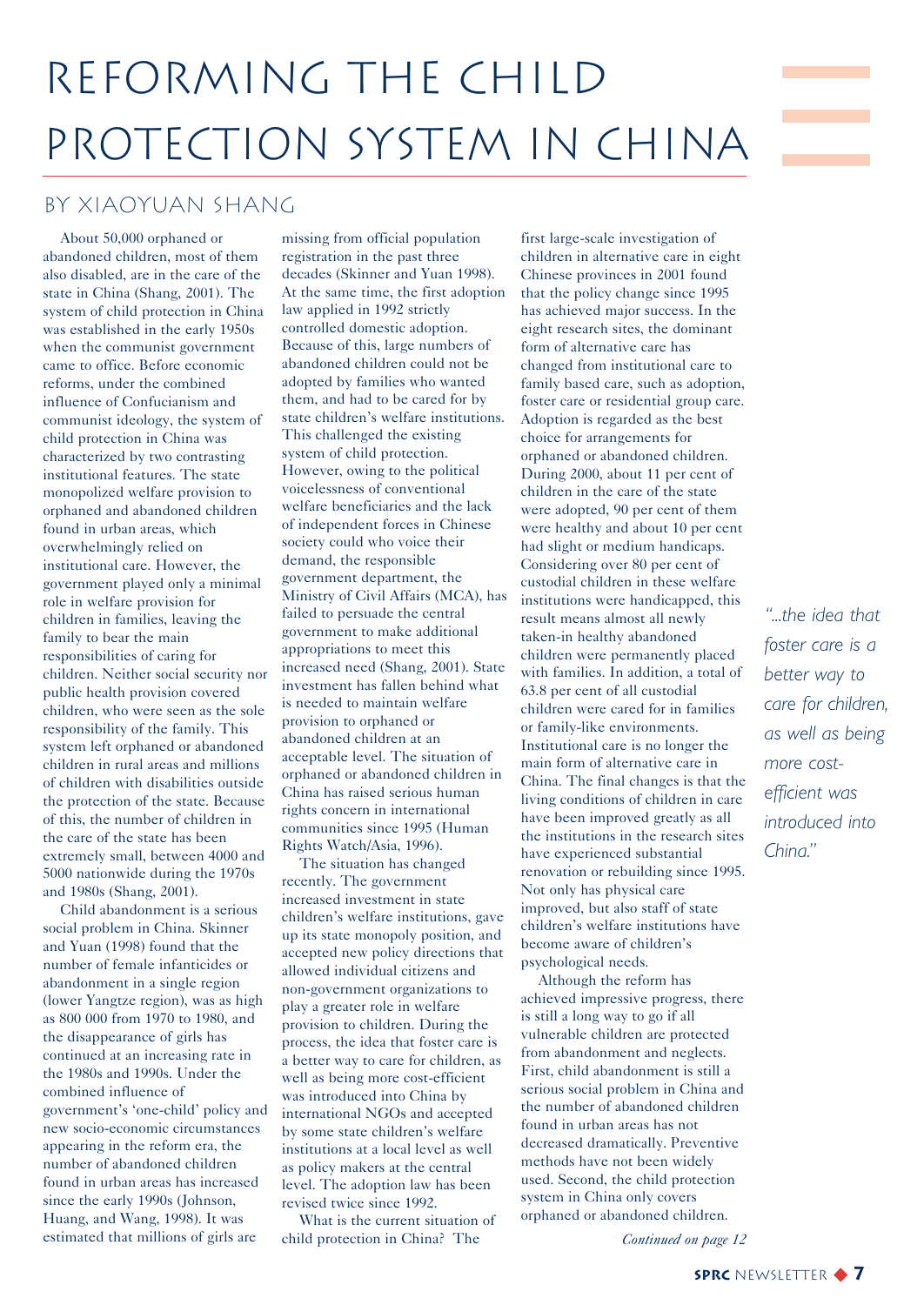# Reforming The Child PROTECTION SYSTEM IN CHINA

#### by Xiaoyuan Shang

About 50,000 orphaned or abandoned children, most of them also disabled, are in the care of the state in China (Shang, 2001). The system of child protection in China was established in the early 1950s when the communist government came to office. Before economic reforms, under the combined influence of Confucianism and communist ideology, the system of child protection in China was characterized by two contrasting institutional features. The state monopolized welfare provision to orphaned and abandoned children found in urban areas, which overwhelmingly relied on institutional care. However, the government played only a minimal role in welfare provision for children in families, leaving the family to bear the main responsibilities of caring for children. Neither social security nor public health provision covered children, who were seen as the sole responsibility of the family. This system left orphaned or abandoned children in rural areas and millions of children with disabilities outside the protection of the state. Because of this, the number of children in the care of the state has been extremely small, between 4000 and 5000 nationwide during the 1970s and 1980s (Shang, 2001).

Child abandonment is a serious social problem in China. Skinner and Yuan (1998) found that the number of female infanticides or abandonment in a single region (lower Yangtze region), was as high as 800 000 from 1970 to 1980, and the disappearance of girls has continued at an increasing rate in the 1980s and 1990s. Under the combined influence of government's 'one-child' policy and new socio-economic circumstances appearing in the reform era, the number of abandoned children found in urban areas has increased since the early 1990s (Johnson, Huang, and Wang, 1998). It was estimated that millions of girls are

missing from official population registration in the past three decades (Skinner and Yuan 1998). At the same time, the first adoption law applied in 1992 strictly controlled domestic adoption. Because of this, large numbers of abandoned children could not be adopted by families who wanted them, and had to be cared for by state children's welfare institutions. This challenged the existing system of child protection. However, owing to the political voicelessness of conventional welfare beneficiaries and the lack of independent forces in Chinese society could who voice their demand, the responsible government department, the Ministry of Civil Affairs (MCA), has failed to persuade the central government to make additional appropriations to meet this increased need (Shang, 2001). State investment has fallen behind what is needed to maintain welfare provision to orphaned or abandoned children at an acceptable level. The situation of orphaned or abandoned children in China has raised serious human rights concern in international communities since 1995 (Human Rights Watch/Asia, 1996).

The situation has changed recently. The government increased investment in state children's welfare institutions, gave up its state monopoly position, and accepted new policy directions that allowed individual citizens and non-government organizations to play a greater role in welfare provision to children. During the process, the idea that foster care is a better way to care for children, as well as being more cost-efficient was introduced into China by international NGOs and accepted by some state children's welfare institutions at a local level as well as policy makers at the central level. The adoption law has been revised twice since 1992.

What is the current situation of child protection in China? The

first large-scale investigation of children in alternative care in eight Chinese provinces in 2001 found that the policy change since 1995 has achieved major success. In the eight research sites, the dominant form of alternative care has changed from institutional care to family based care, such as adoption, foster care or residential group care. Adoption is regarded as the best choice for arrangements for orphaned or abandoned children. During 2000, about 11 per cent of children in the care of the state were adopted, 90 per cent of them were healthy and about 10 per cent had slight or medium handicaps. Considering over 80 per cent of custodial children in these welfare institutions were handicapped, this result means almost all newly taken-in healthy abandoned children were permanently placed with families. In addition, a total of 63.8 per cent of all custodial children were cared for in families or family-like environments. Institutional care is no longer the main form of alternative care in China. The final changes is that the living conditions of children in care have been improved greatly as all the institutions in the research sites have experienced substantial renovation or rebuilding since 1995. Not only has physical care improved, but also staff of state children's welfare institutions have become aware of children's psychological needs.

Although the reform has achieved impressive progress, there is still a long way to go if all vulnerable children are protected from abandonment and neglects. First, child abandonment is still a serious social problem in China and the number of abandoned children found in urban areas has not decreased dramatically. Preventive methods have not been widely used. Second, the child protection system in China only covers orphaned or abandoned children.

*"...the idea that foster care is a better way to care for children, as well as being more costefficient was introduced into China."*

*Continued on page 12*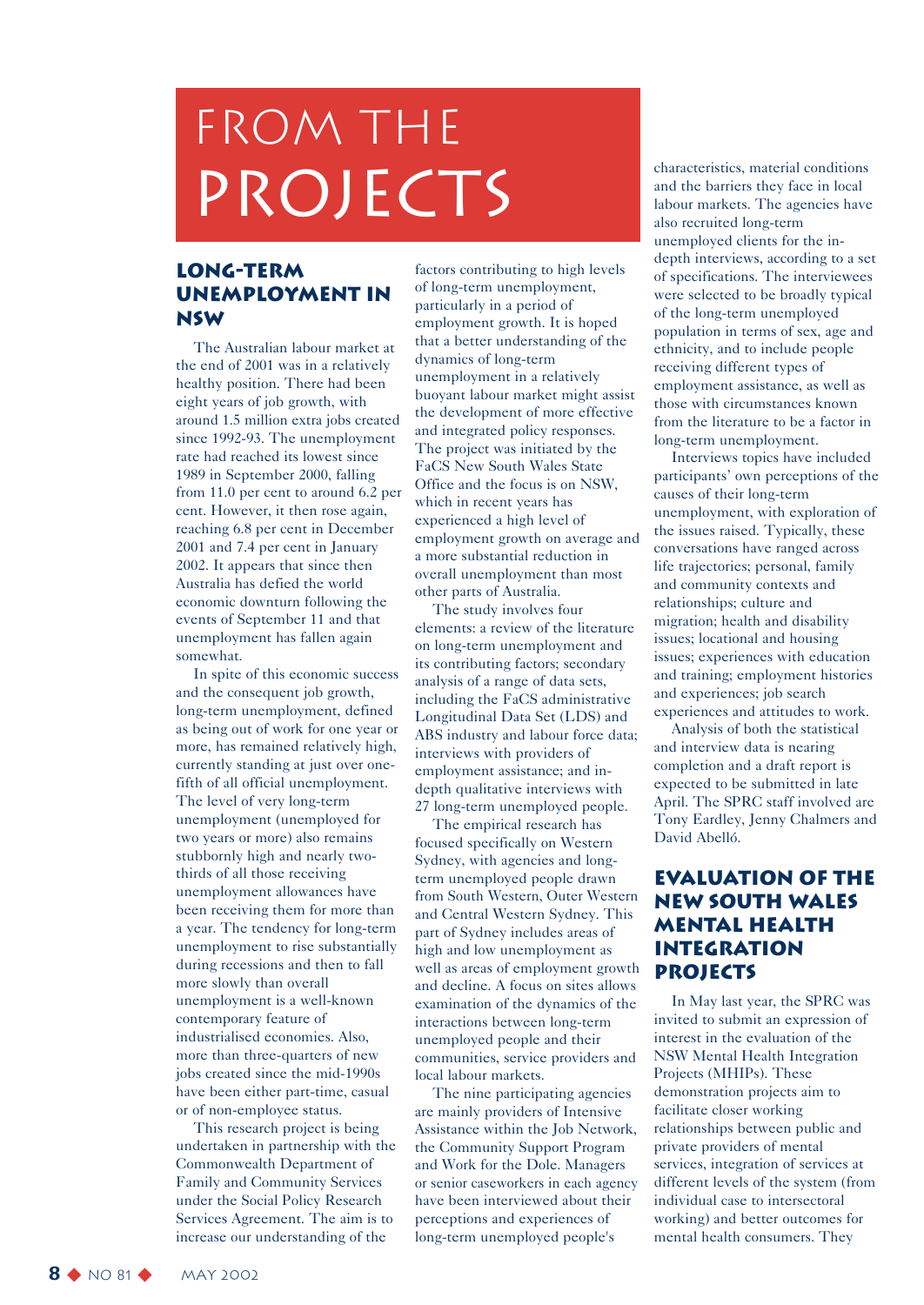# FROM THE PROJECTS

#### **Long-term Unemployment in NSW**

The Australian labour market at the end of 2001 was in a relatively healthy position. There had been eight years of job growth, with around 1.5 million extra jobs created since 1992-93. The unemployment rate had reached its lowest since 1989 in September 2000, falling from 11.0 per cent to around 6.2 per cent. However, it then rose again, reaching 6.8 per cent in December 2001 and 7.4 per cent in January 2002. It appears that since then Australia has defied the world economic downturn following the events of September 11 and that unemployment has fallen again somewhat.

In spite of this economic success and the consequent job growth, long-term unemployment, defined as being out of work for one year or more, has remained relatively high, currently standing at just over onefifth of all official unemployment. The level of very long-term unemployment (unemployed for two years or more) also remains stubbornly high and nearly twothirds of all those receiving unemployment allowances have been receiving them for more than a year. The tendency for long-term unemployment to rise substantially during recessions and then to fall more slowly than overall unemployment is a well-known contemporary feature of industrialised economies. Also, more than three-quarters of new jobs created since the mid-1990s have been either part-time, casual or of non-employee status.

This research project is being undertaken in partnership with the Commonwealth Department of Family and Community Services under the Social Policy Research Services Agreement. The aim is to increase our understanding of the

factors contributing to high levels of long-term unemployment, particularly in a period of employment growth. It is hoped that a better understanding of the dynamics of long-term unemployment in a relatively buoyant labour market might assist the development of more effective and integrated policy responses. The project was initiated by the FaCS New South Wales State Office and the focus is on NSW, which in recent years has experienced a high level of employment growth on average and a more substantial reduction in overall unemployment than most other parts of Australia.

The study involves four elements: a review of the literature on long-term unemployment and its contributing factors; secondary analysis of a range of data sets, including the FaCS administrative Longitudinal Data Set (LDS) and ABS industry and labour force data; interviews with providers of employment assistance; and indepth qualitative interviews with 27 long-term unemployed people.

The empirical research has focused specifically on Western Sydney, with agencies and longterm unemployed people drawn from South Western, Outer Western and Central Western Sydney. This part of Sydney includes areas of high and low unemployment as well as areas of employment growth and decline. A focus on sites allows examination of the dynamics of the interactions between long-term unemployed people and their communities, service providers and local labour markets.

The nine participating agencies are mainly providers of Intensive Assistance within the Job Network, the Community Support Program and Work for the Dole. Managers or senior caseworkers in each agency have been interviewed about their perceptions and experiences of long-term unemployed people's

characteristics, material conditions and the barriers they face in local labour markets. The agencies have also recruited long-term unemployed clients for the indepth interviews, according to a set of specifications. The interviewees were selected to be broadly typical of the long-term unemployed population in terms of sex, age and ethnicity, and to include people receiving different types of employment assistance, as well as those with circumstances known from the literature to be a factor in long-term unemployment.

Interviews topics have included participants' own perceptions of the causes of their long-term unemployment, with exploration of the issues raised. Typically, these conversations have ranged across life trajectories; personal, family and community contexts and relationships; culture and migration; health and disability issues; locational and housing issues; experiences with education and training; employment histories and experiences; job search experiences and attitudes to work.

Analysis of both the statistical and interview data is nearing completion and a draft report is expected to be submitted in late April. The SPRC staff involved are Tony Eardley, Jenny Chalmers and David Abelló.

#### **EVALUATION OF THE NEW SOUTH WALES MENTAL HEALTH INTEGRATION PROJECTS**

In May last year, the SPRC was invited to submit an expression of interest in the evaluation of the NSW Mental Health Integration Projects (MHIPs). These demonstration projects aim to facilitate closer working relationships between public and private providers of mental services, integration of services at different levels of the system (from individual case to intersectoral working) and better outcomes for mental health consumers. They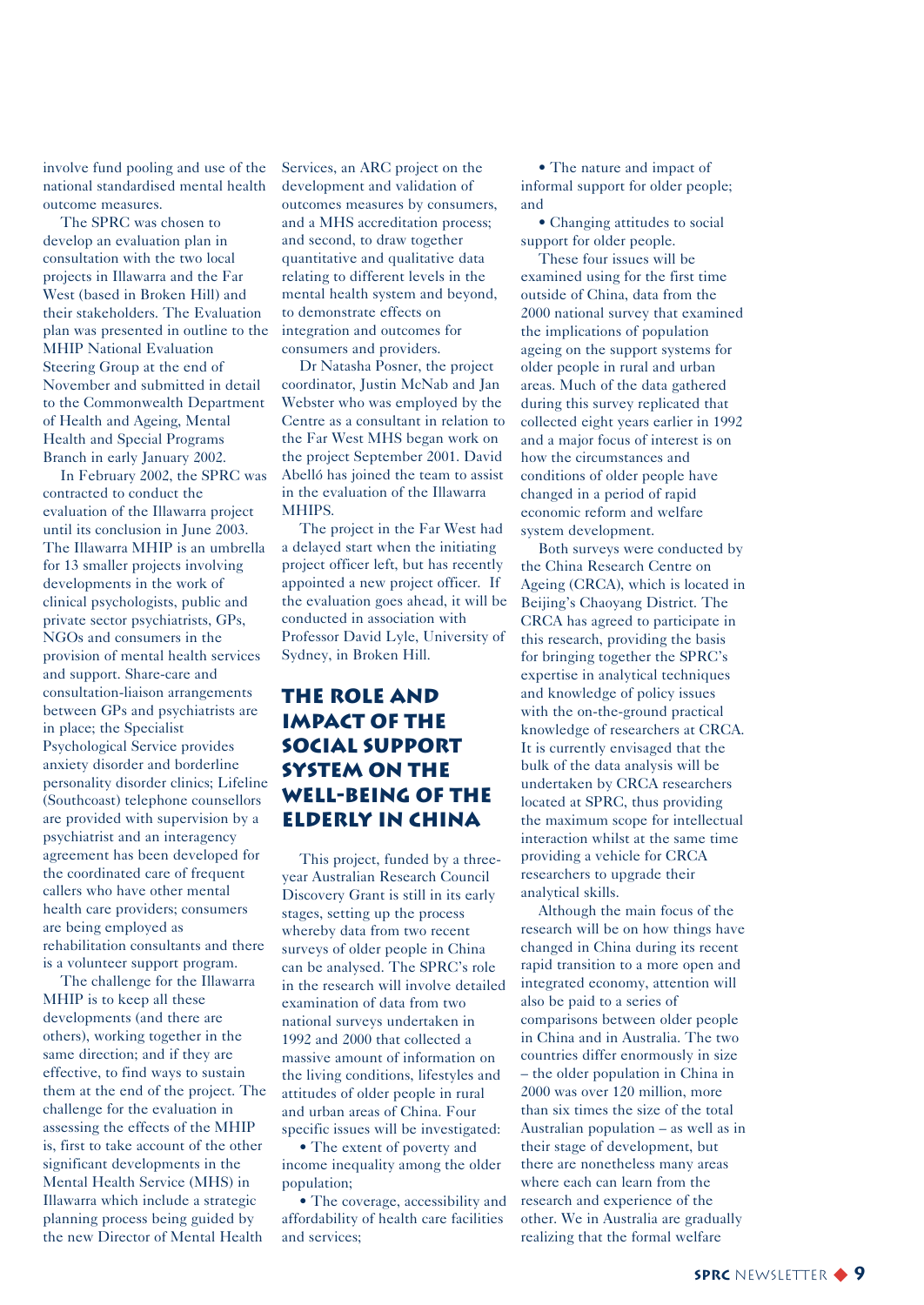involve fund pooling and use of the national standardised mental health outcome measures.

The SPRC was chosen to develop an evaluation plan in consultation with the two local projects in Illawarra and the Far West (based in Broken Hill) and their stakeholders. The Evaluation plan was presented in outline to the MHIP National Evaluation Steering Group at the end of November and submitted in detail to the Commonwealth Department of Health and Ageing, Mental Health and Special Programs Branch in early January 2002.

In February 2002, the SPRC was contracted to conduct the evaluation of the Illawarra project until its conclusion in June 2003. The Illawarra MHIP is an umbrella for 13 smaller projects involving developments in the work of clinical psychologists, public and private sector psychiatrists, GPs, NGOs and consumers in the provision of mental health services and support. Share-care and consultation-liaison arrangements between GPs and psychiatrists are in place; the Specialist Psychological Service provides anxiety disorder and borderline personality disorder clinics; Lifeline (Southcoast) telephone counsellors are provided with supervision by a psychiatrist and an interagency agreement has been developed for the coordinated care of frequent callers who have other mental health care providers; consumers are being employed as rehabilitation consultants and there is a volunteer support program.

The challenge for the Illawarra MHIP is to keep all these developments (and there are others), working together in the same direction; and if they are effective, to find ways to sustain them at the end of the project. The challenge for the evaluation in assessing the effects of the MHIP is, first to take account of the other significant developments in the Mental Health Service (MHS) in Illawarra which include a strategic planning process being guided by the new Director of Mental Health

Services, an ARC project on the development and validation of outcomes measures by consumers, and a MHS accreditation process; and second, to draw together quantitative and qualitative data relating to different levels in the mental health system and beyond, to demonstrate effects on integration and outcomes for consumers and providers.

Dr Natasha Posner, the project coordinator, Justin McNab and Jan Webster who was employed by the Centre as a consultant in relation to the Far West MHS began work on the project September 2001. David Abelló has joined the team to assist in the evaluation of the Illawarra MHIPS.

The project in the Far West had a delayed start when the initiating project officer left, but has recently appointed a new project officer. If the evaluation goes ahead, it will be conducted in association with Professor David Lyle, University of Sydney, in Broken Hill.

#### **The Role and Impact of the Social Support System on the Well-Being of the Elderly in China**

This project, funded by a threeyear Australian Research Council Discovery Grant is still in its early stages, setting up the process whereby data from two recent surveys of older people in China can be analysed. The SPRC's role in the research will involve detailed examination of data from two national surveys undertaken in 1992 and 2000 that collected a massive amount of information on the living conditions, lifestyles and attitudes of older people in rural and urban areas of China. Four specific issues will be investigated:

• The extent of poverty and income inequality among the older population;

• The coverage, accessibility and affordability of health care facilities and services;

• The nature and impact of informal support for older people; and

• Changing attitudes to social support for older people.

These four issues will be examined using for the first time outside of China, data from the 2000 national survey that examined the implications of population ageing on the support systems for older people in rural and urban areas. Much of the data gathered during this survey replicated that collected eight years earlier in 1992 and a major focus of interest is on how the circumstances and conditions of older people have changed in a period of rapid economic reform and welfare system development.

Both surveys were conducted by the China Research Centre on Ageing (CRCA), which is located in Beijing's Chaoyang District. The CRCA has agreed to participate in this research, providing the basis for bringing together the SPRC's expertise in analytical techniques and knowledge of policy issues with the on-the-ground practical knowledge of researchers at CRCA. It is currently envisaged that the bulk of the data analysis will be undertaken by CRCA researchers located at SPRC, thus providing the maximum scope for intellectual interaction whilst at the same time providing a vehicle for CRCA researchers to upgrade their analytical skills.

Although the main focus of the research will be on how things have changed in China during its recent rapid transition to a more open and integrated economy, attention will also be paid to a series of comparisons between older people in China and in Australia. The two countries differ enormously in size – the older population in China in 2000 was over 120 million, more than six times the size of the total Australian population – as well as in their stage of development, but there are nonetheless many areas where each can learn from the research and experience of the other. We in Australia are gradually realizing that the formal welfare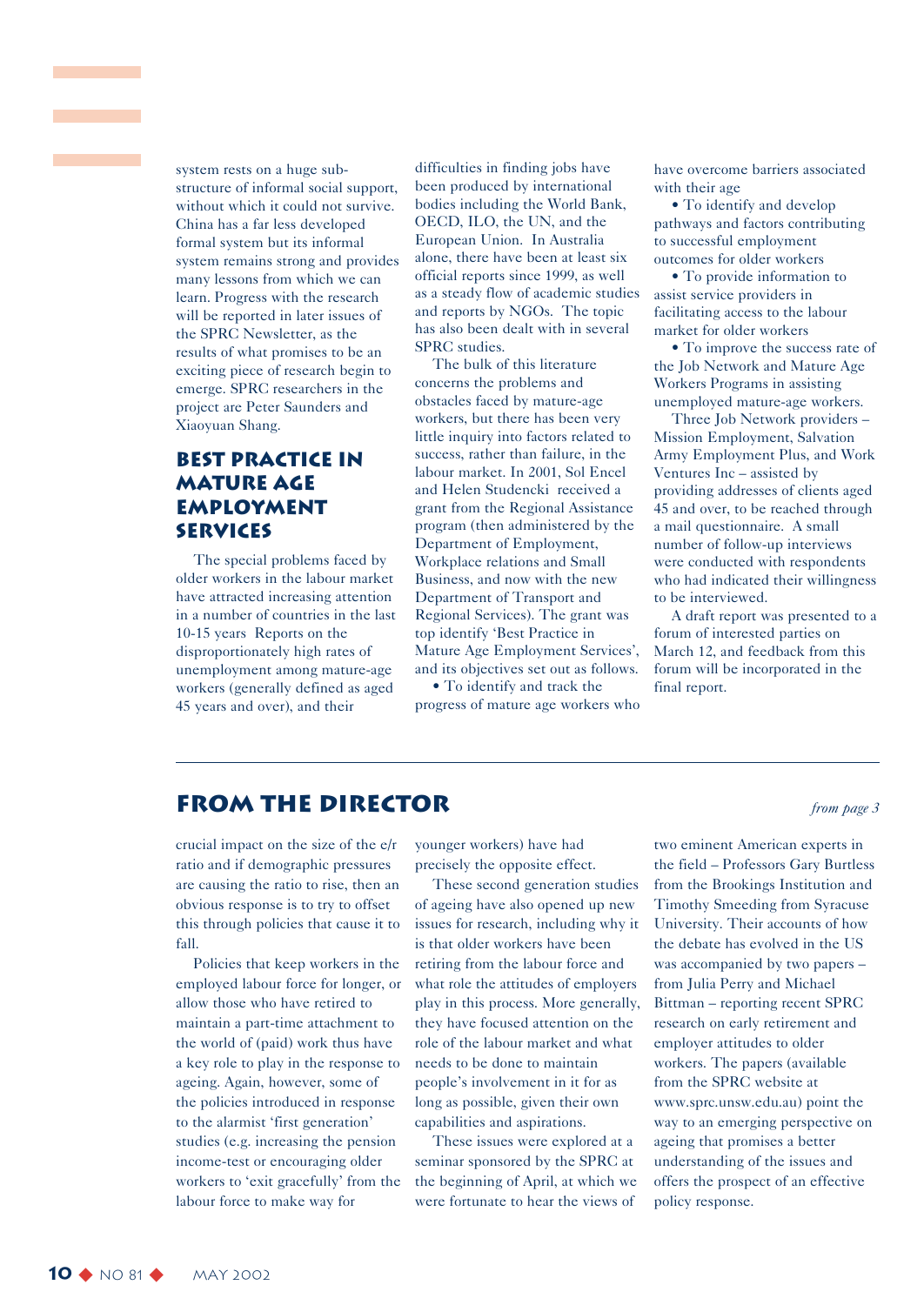system rests on a huge substructure of informal social support, without which it could not survive. China has a far less developed formal system but its informal system remains strong and provides many lessons from which we can learn. Progress with the research will be reported in later issues of the SPRC Newsletter, as the results of what promises to be an exciting piece of research begin to emerge. SPRC researchers in the project are Peter Saunders and Xiaoyuan Shang.

#### **Best Practice in Mature Age Employment Services**

The special problems faced by older workers in the labour market have attracted increasing attention in a number of countries in the last 10-15 years Reports on the disproportionately high rates of unemployment among mature-age workers (generally defined as aged 45 years and over), and their

difficulties in finding jobs have been produced by international bodies including the World Bank, OECD, ILO, the UN, and the European Union. In Australia alone, there have been at least six official reports since 1999, as well as a steady flow of academic studies and reports by NGOs. The topic has also been dealt with in several SPRC studies.

The bulk of this literature concerns the problems and obstacles faced by mature-age workers, but there has been very little inquiry into factors related to success, rather than failure, in the labour market. In 2001, Sol Encel and Helen Studencki received a grant from the Regional Assistance program (then administered by the Department of Employment, Workplace relations and Small Business, and now with the new Department of Transport and Regional Services). The grant was top identify 'Best Practice in Mature Age Employment Services', and its objectives set out as follows.

• To identify and track the progress of mature age workers who have overcome barriers associated with their age

• To identify and develop pathways and factors contributing to successful employment outcomes for older workers

• To provide information to assist service providers in facilitating access to the labour market for older workers

• To improve the success rate of the Job Network and Mature Age Workers Programs in assisting unemployed mature-age workers.

Three Job Network providers – Mission Employment, Salvation Army Employment Plus, and Work Ventures Inc – assisted by providing addresses of clients aged 45 and over, to be reached through a mail questionnaire. A small number of follow-up interviews were conducted with respondents who had indicated their willingness to be interviewed.

A draft report was presented to a forum of interested parties on March 12, and feedback from this forum will be incorporated in the final report.

#### **From the Director**

crucial impact on the size of the e/r ratio and if demographic pressures are causing the ratio to rise, then an obvious response is to try to offset this through policies that cause it to fall.

Policies that keep workers in the employed labour force for longer, or allow those who have retired to maintain a part-time attachment to the world of (paid) work thus have a key role to play in the response to ageing. Again, however, some of the policies introduced in response to the alarmist 'first generation' studies (e.g. increasing the pension income-test or encouraging older workers to 'exit gracefully' from the labour force to make way for

younger workers) have had precisely the opposite effect.

These second generation studies of ageing have also opened up new issues for research, including why it is that older workers have been retiring from the labour force and what role the attitudes of employers play in this process. More generally, they have focused attention on the role of the labour market and what needs to be done to maintain people's involvement in it for as long as possible, given their own capabilities and aspirations.

These issues were explored at a seminar sponsored by the SPRC at the beginning of April, at which we were fortunate to hear the views of

#### *from page 3*

two eminent American experts in the field – Professors Gary Burtless from the Brookings Institution and Timothy Smeeding from Syracuse University. Their accounts of how the debate has evolved in the US was accompanied by two papers – from Julia Perry and Michael Bittman – reporting recent SPRC research on early retirement and employer attitudes to older workers. The papers (available from the SPRC website at www.sprc.unsw.edu.au) point the way to an emerging perspective on ageing that promises a better understanding of the issues and offers the prospect of an effective policy response.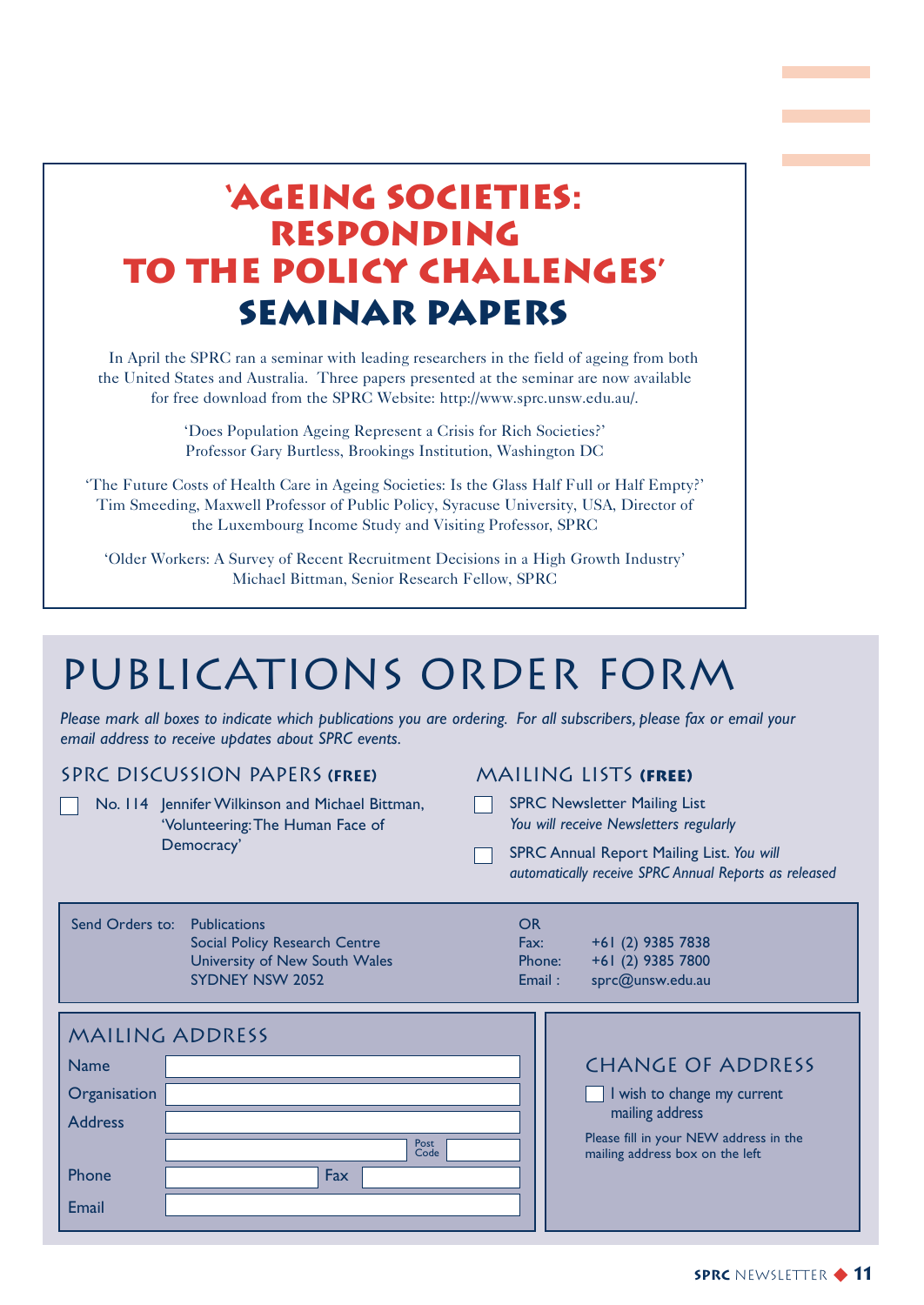# **'Ageing Societies: Responding to the Policy Challenges' Seminar Papers**

In April the SPRC ran a seminar with leading researchers in the field of ageing from both the United States and Australia. Three papers presented at the seminar are now available for free download from the SPRC Website: http://www.sprc.unsw.edu.au/.

> 'Does Population Ageing Represent a Crisis for Rich Societies?' Professor Gary Burtless, Brookings Institution, Washington DC

'The Future Costs of Health Care in Ageing Societies: Is the Glass Half Full or Half Empty?' Tim Smeeding, Maxwell Professor of Public Policy, Syracuse University, USA, Director of the Luxembourg Income Study and Visiting Professor, SPRC

'Older Workers: A Survey of Recent Recruitment Decisions in a High Growth Industry' Michael Bittman, Senior Research Fellow, SPRC

# publications order form

*Please mark all boxes to indicate which publications you are ordering. For all subscribers, please fax or email your email address to receive updates about SPRC events.*

#### SPRC discussion Papers **(Free)**

| No. 114 Jennifer Wilkinson and Michael Bittman, |
|-------------------------------------------------|
| 'Volunteering: The Human Face of                |
| Democracy'                                      |

#### Mailing Lists **(free)**

- SPRC Newsletter Mailing List *You will receive Newsletters regularly*
- SPRC Annual Report Mailing List. *You will automatically receive SPRC Annual Reports as released*

| Send Orders to: Publications |                               | OR     |                                        |
|------------------------------|-------------------------------|--------|----------------------------------------|
|                              | Social Policy Research Centre | Fax:   | +61 (2) 9385 7838                      |
|                              | University of New South Wales |        | Phone: $+61(2)$ 9385 7800              |
|                              | SYDNEY NSW 2052               | Email: | $\mathsf{sprc}\mathcal{Q}$ unsw.edu.au |
|                              |                               |        |                                        |

|                | <b>MAILING ADDRESS</b> |                                                                           |
|----------------|------------------------|---------------------------------------------------------------------------|
| <b>Name</b>    |                        | <b>CHANGE OF ADDRESS</b>                                                  |
| Organisation   |                        | I wish to change my current                                               |
| <b>Address</b> |                        | mailing address                                                           |
|                | <b>Post</b><br>Code    | Please fill in your NEW address in the<br>mailing address box on the left |
| Phone          | Fax                    |                                                                           |
| Email          |                        |                                                                           |